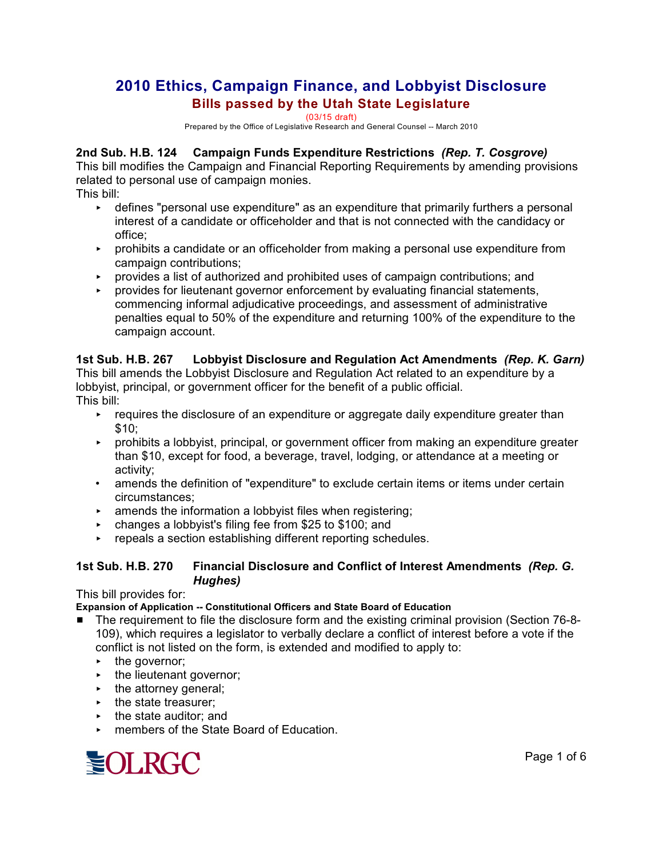# **2010 Ethics, Campaign Finance, and Lobbyist Disclosure Bills passed by the Utah State Legislature**

(03/15 draft)

Prepared by the Office of Legislative Research and General Counsel -- March 2010

#### **2nd Sub. H.B. 124 Campaign Funds Expenditure Restrictions** *(Rep. T. Cosgrove)*

This bill modifies the Campaign and Financial Reporting Requirements by amending provisions related to personal use of campaign monies.

This bill:

- < defines "personal use expenditure" as an expenditure that primarily furthers a personal interest of a candidate or officeholder and that is not connected with the candidacy or office;
- **EX Prohibits a candidate or an officeholder from making a personal use expenditure from** campaign contributions;
- **PED FORM 2018 20 FER 15 A** provides a list of authorized and prohibited uses of campaign contributions; and
- < provides for lieutenant governor enforcement by evaluating financial statements, commencing informal adjudicative proceedings, and assessment of administrative penalties equal to 50% of the expenditure and returning 100% of the expenditure to the campaign account.

# **1st Sub. H.B. 267 Lobbyist Disclosure and Regulation Act Amendments** *(Rep. K. Garn)*

This bill amends the Lobbyist Disclosure and Regulation Act related to an expenditure by a lobbyist, principal, or government officer for the benefit of a public official. This bill:

- $\rightarrow$  requires the disclosure of an expenditure or aggregate daily expenditure greater than \$10;
- < prohibits a lobbyist, principal, or government officer from making an expenditure greater than \$10, except for food, a beverage, travel, lodging, or attendance at a meeting or activity;
- amends the definition of "expenditure" to exclude certain items or items under certain circumstances;
- $\rightarrow$  amends the information a lobbyist files when registering;
- < changes a lobbyist's filing fee from \$25 to \$100; and
- $\triangleright$  repeals a section establishing different reporting schedules.

#### **1st Sub. H.B. 270 Financial Disclosure and Conflict of Interest Amendments** *(Rep. G. Hughes)*

This bill provides for:

#### **Expansion of Application -- Constitutional Officers and State Board of Education**

- The requirement to file the disclosure form and the existing criminal provision (Section 76-8-109), which requires a legislator to verbally declare a conflict of interest before a vote if the conflict is not listed on the form, is extended and modified to apply to:
	- $\cdot$  the governor;
	- $\blacktriangleright$  the lieutenant governor;
	- $\cdot$  the attorney general;
	- $\blacktriangleright$  the state treasurer;
	- $\triangleright$  the state auditor; and
	- ► members of the State Board of Education

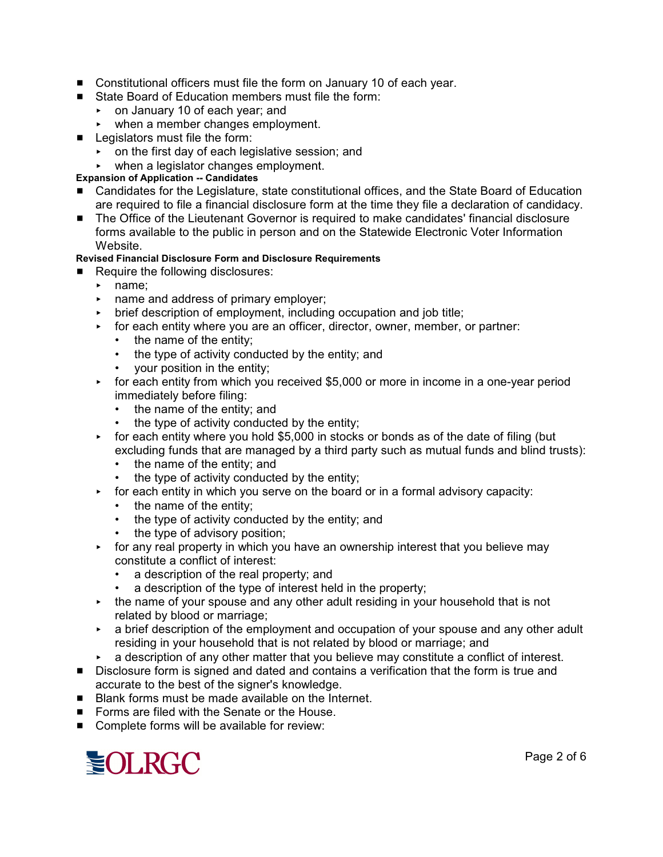- Constitutional officers must file the form on January 10 of each year.
- State Board of Education members must file the form:
	- < on January 10 of each year; and
	- when a member changes employment.
- $\blacksquare$  Legislators must file the form:
	- < on the first day of each legislative session; and
	- when a legislator changes employment.

#### **Expansion of Application -- Candidates**

- Candidates for the Legislature, state constitutional offices, and the State Board of Education are required to file a financial disclosure form at the time they file a declaration of candidacy.
- **The Office of the Lieutenant Governor is required to make candidates' financial disclosure** forms available to the public in person and on the Statewide Electronic Voter Information **Website**

#### **Revised Financial Disclosure Form and Disclosure Requirements**

- $\blacksquare$  Require the following disclosures:
	- name;
	- $\triangleright$  name and address of primary employer;
	- $\rightarrow$  brief description of employment, including occupation and job title;
	- **For each entity where you are an officer, director, owner, member, or partner:** 
		- the name of the entity;
		- the type of activity conducted by the entity; and
		- your position in the entity;
	- **For each entity from which you received \$5,000 or more in income in a one-year period** immediately before filing:
		- the name of the entity; and
		- the type of activity conducted by the entity;
	- $\triangleright$  for each entity where you hold \$5,000 in stocks or bonds as of the date of filing (but excluding funds that are managed by a third party such as mutual funds and blind trusts):
		- the name of the entity; and
		- the type of activity conducted by the entity;
	- $\triangleright$  for each entity in which you serve on the board or in a formal advisory capacity:
		- the name of the entity;
		- the type of activity conducted by the entity; and
		- the type of advisory position;
	- $\rightarrow$  for any real property in which you have an ownership interest that you believe may constitute a conflict of interest:
		- a description of the real property; and
		- a description of the type of interest held in the property;
	- $\rightarrow$  the name of your spouse and any other adult residing in your household that is not related by blood or marriage;
	- **EXT** a brief description of the employment and occupation of your spouse and any other adult residing in your household that is not related by blood or marriage; and
	- < a description of any other matter that you believe may constitute a conflict of interest.
- **E** Disclosure form is signed and dated and contains a verification that the form is true and accurate to the best of the signer's knowledge.
- Blank forms must be made available on the Internet.
- $\blacksquare$  Forms are filed with the Senate or the House.
- Complete forms will be available for review:

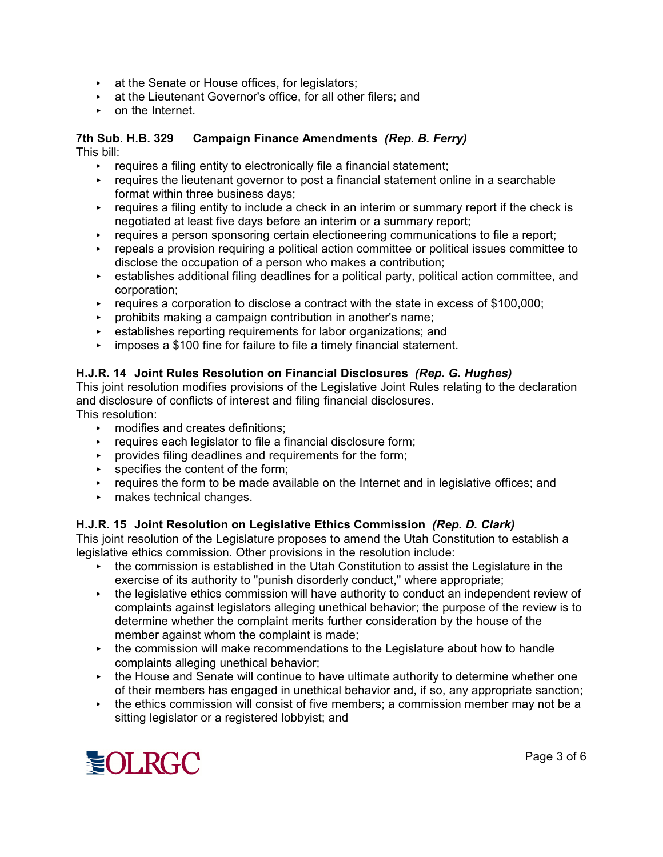- $\triangleright$  at the Senate or House offices, for legislators;
- $\triangleright$  at the Lieutenant Governor's office, for all other filers; and
- **EXECUTE:** on the Internet

#### **7th Sub. H.B. 329 Campaign Finance Amendments** *(Rep. B. Ferry)* This bill:

- $\rightarrow$  requires a filing entity to electronically file a financial statement;
- $\rightarrow$  requires the lieutenant governor to post a financial statement online in a searchable format within three business days;
- $\rightarrow$  requires a filing entity to include a check in an interim or summary report if the check is negotiated at least five days before an interim or a summary report;
- $\triangleright$  requires a person sponsoring certain electioneering communications to file a report;
- $\rightarrow$  repeals a provision requiring a political action committee or political issues committee to disclose the occupation of a person who makes a contribution;
- < establishes additional filing deadlines for a political party, political action committee, and corporation;
- $\triangleright$  requires a corporation to disclose a contract with the state in excess of \$100,000;
- < prohibits making a campaign contribution in another's name;
- establishes reporting requirements for labor organizations; and
- < imposes a \$100 fine for failure to file a timely financial statement.

# **H.J.R. 14 Joint Rules Resolution on Financial Disclosures** *(Rep. G. Hughes)*

This joint resolution modifies provisions of the Legislative Joint Rules relating to the declaration and disclosure of conflicts of interest and filing financial disclosures.

This resolution:

- **EXECUTE:** modifies and creates definitions;
- $\triangleright$  requires each legislator to file a financial disclosure form;
- $\triangleright$  provides filing deadlines and requirements for the form;
- $\triangleright$  specifies the content of the form;
- $\triangleright$  requires the form to be made available on the Internet and in legislative offices; and
- **EXECUTE:** makes technical changes.

# **H.J.R. 15 Joint Resolution on Legislative Ethics Commission** *(Rep. D. Clark)*

This joint resolution of the Legislature proposes to amend the Utah Constitution to establish a legislative ethics commission. Other provisions in the resolution include:

- $\rightarrow$  the commission is established in the Utah Constitution to assist the Legislature in the exercise of its authority to "punish disorderly conduct," where appropriate;
- $\cdot$  the legislative ethics commission will have authority to conduct an independent review of complaints against legislators alleging unethical behavior; the purpose of the review is to determine whether the complaint merits further consideration by the house of the member against whom the complaint is made;
- $\rightarrow$  the commission will make recommendations to the Legislature about how to handle complaints alleging unethical behavior;
- $\rightarrow$  the House and Senate will continue to have ultimate authority to determine whether one of their members has engaged in unethical behavior and, if so, any appropriate sanction;
- $\rightarrow$  the ethics commission will consist of five members; a commission member may not be a sitting legislator or a registered lobbyist; and

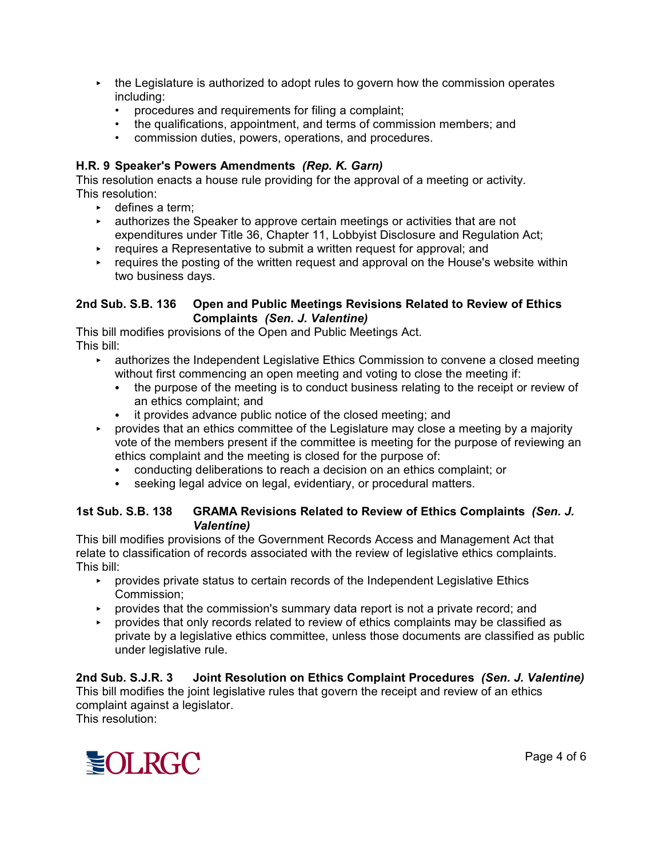- $\triangleright$  the Legislature is authorized to adopt rules to govern how the commission operates including:
	- procedures and requirements for filing a complaint;
	- the qualifications, appointment, and terms of commission members; and
	- commission duties, powers, operations, and procedures.

### **H.R. 9 Speaker's Powers Amendments** *(Rep. K. Garn)*

This resolution enacts a house rule providing for the approval of a meeting or activity. This resolution:

- $\triangleright$  defines a term;
- **EXED** authorizes the Speaker to approve certain meetings or activities that are not expenditures under Title 36, Chapter 11, Lobbyist Disclosure and Regulation Act;
- $\triangleright$  requires a Representative to submit a written request for approval; and
- $\triangleright$  requires the posting of the written request and approval on the House's website within two business days.

#### **2nd Sub. S.B. 136 Open and Public Meetings Revisions Related to Review of Ethics Complaints** *(Sen. J. Valentine)*

This bill modifies provisions of the Open and Public Meetings Act. This bill:

- **EXECT** authorizes the Independent Legislative Ethics Commission to convene a closed meeting without first commencing an open meeting and voting to close the meeting if:
	- the purpose of the meeting is to conduct business relating to the receipt or review of an ethics complaint; and
	- it provides advance public notice of the closed meeting; and
- $\triangleright$  provides that an ethics committee of the Legislature may close a meeting by a majority vote of the members present if the committee is meeting for the purpose of reviewing an ethics complaint and the meeting is closed for the purpose of:
	- conducting deliberations to reach a decision on an ethics complaint; or
	- seeking legal advice on legal, evidentiary, or procedural matters.

#### **1st Sub. S.B. 138 GRAMA Revisions Related to Review of Ethics Complaints** *(Sen. J. Valentine)*

This bill modifies provisions of the Government Records Access and Management Act that relate to classification of records associated with the review of legislative ethics complaints. This bill:

- **EX Provides private status to certain records of the Independent Legislative Ethics** Commission;
- **EX Provides that the commission's summary data report is not a private record; and**
- **PED TERM** provides that only records related to review of ethics complaints may be classified as private by a legislative ethics committee, unless those documents are classified as public under legislative rule.

**2nd Sub. S.J.R. 3 Joint Resolution on Ethics Complaint Procedures** *(Sen. J. Valentine)* This bill modifies the joint legislative rules that govern the receipt and review of an ethics complaint against a legislator. This resolution:

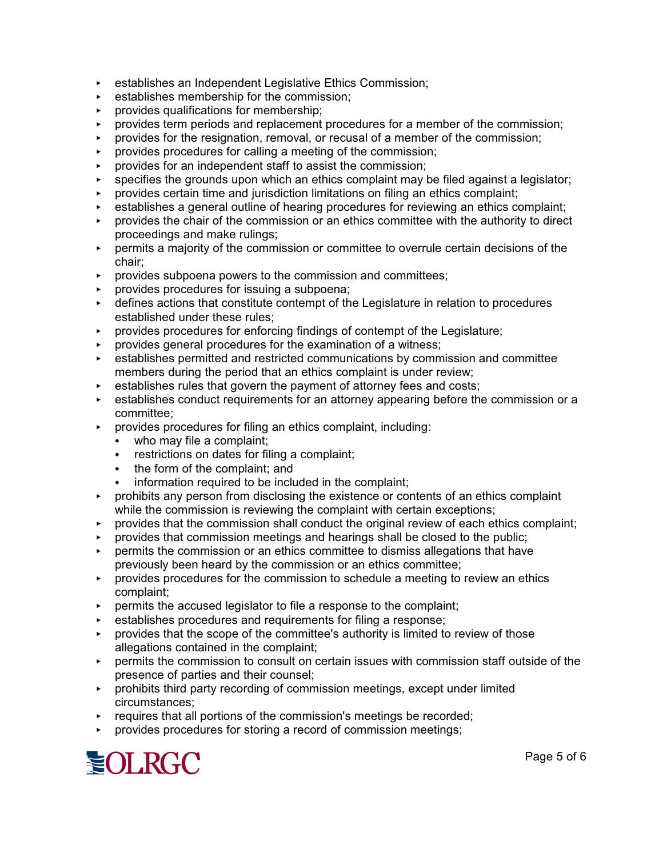- establishes an Independent Legislative Ethics Commission;
- establishes membership for the commission:
- provides qualifications for membership;
- < provides term periods and replacement procedures for a member of the commission;
- < provides for the resignation, removal, or recusal of a member of the commission;
- < provides procedures for calling a meeting of the commission;
- provides for an independent staff to assist the commission;
- specifies the grounds upon which an ethics complaint may be filed against a legislator;
- < provides certain time and jurisdiction limitations on filing an ethics complaint;
- establishes a general outline of hearing procedures for reviewing an ethics complaint;
- < provides the chair of the commission or an ethics committee with the authority to direct proceedings and make rulings;
- < permits a majority of the commission or committee to overrule certain decisions of the chair;
- < provides subpoena powers to the commission and committees;
- < provides procedures for issuing a subpoena;
- **EXECT** defines actions that constitute contempt of the Legislature in relation to procedures established under these rules;
- $\triangleright$  provides procedures for enforcing findings of contempt of the Legislature;
- < provides general procedures for the examination of a witness;
- < establishes permitted and restricted communications by commission and committee members during the period that an ethics complaint is under review;
- $\triangleright$  establishes rules that govern the payment of attorney fees and costs;
- $\overline{\phantom{a}}$  establishes conduct requirements for an attorney appearing before the commission or a committee;
- $\triangleright$  provides procedures for filing an ethics complaint, including:
	- who may file a complaint;
	- restrictions on dates for filing a complaint;
	- the form of the complaint; and
	- information required to be included in the complaint;
- $\rightarrow$  prohibits any person from disclosing the existence or contents of an ethics complaint while the commission is reviewing the complaint with certain exceptions;
- $\rightarrow$  provides that the commission shall conduct the original review of each ethics complaint;
- < provides that commission meetings and hearings shall be closed to the public;
- $\rightarrow$  permits the commission or an ethics committee to dismiss allegations that have previously been heard by the commission or an ethics committee;
- $\rightarrow$  provides procedures for the commission to schedule a meeting to review an ethics complaint;
- $\triangleright$  permits the accused legislator to file a response to the complaint;
- establishes procedures and requirements for filing a response;
- < provides that the scope of the committee's authority is limited to review of those allegations contained in the complaint;
- < permits the commission to consult on certain issues with commission staff outside of the presence of parties and their counsel;
- **EX Prohibits third party recording of commission meetings, except under limited** circumstances;
- $\cdot$  requires that all portions of the commission's meetings be recorded;
- **PED FIGUREY 1** provides procedures for storing a record of commission meetings;